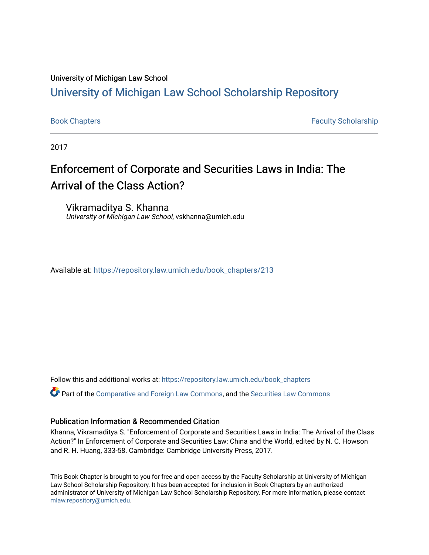### University of Michigan Law School

# [University of Michigan Law School Scholarship Repository](https://repository.law.umich.edu/)

[Book Chapters](https://repository.law.umich.edu/book_chapters) [Faculty Scholarship](https://repository.law.umich.edu/faculty_scholarship) Faculty Scholarship

2017

# Enforcement of Corporate and Securities Laws in India: The Arrival of the Class Action?

Vikramaditya S. Khanna University of Michigan Law School, vskhanna@umich.edu

Available at: [https://repository.law.umich.edu/book\\_chapters/213](https://repository.law.umich.edu/book_chapters/213) 

Follow this and additional works at: [https://repository.law.umich.edu/book\\_chapters](https://repository.law.umich.edu/book_chapters?utm_source=repository.law.umich.edu%2Fbook_chapters%2F213&utm_medium=PDF&utm_campaign=PDFCoverPages)

 $\bullet$  Part of the [Comparative and Foreign Law Commons,](http://network.bepress.com/hgg/discipline/836?utm_source=repository.law.umich.edu%2Fbook_chapters%2F213&utm_medium=PDF&utm_campaign=PDFCoverPages) and the [Securities Law Commons](http://network.bepress.com/hgg/discipline/619?utm_source=repository.law.umich.edu%2Fbook_chapters%2F213&utm_medium=PDF&utm_campaign=PDFCoverPages)

## Publication Information & Recommended Citation

Khanna, Vikramaditya S. "Enforcement of Corporate and Securities Laws in India: The Arrival of the Class Action?" In Enforcement of Corporate and Securities Law: China and the World, edited by N. C. Howson and R. H. Huang, 333-58. Cambridge: Cambridge University Press, 2017.

This Book Chapter is brought to you for free and open access by the Faculty Scholarship at University of Michigan Law School Scholarship Repository. It has been accepted for inclusion in Book Chapters by an authorized administrator of University of Michigan Law School Scholarship Repository. For more information, please contact [mlaw.repository@umich.edu.](mailto:mlaw.repository@umich.edu)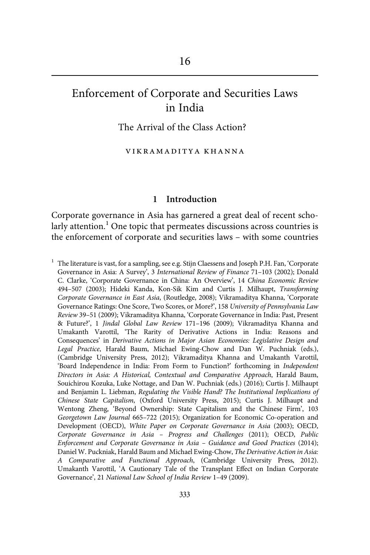# Enforcement of Corporate and Securities Laws in India

The Arrival of the Class Action?

vikramaditya khanna

#### 1 Introduction

Corporate governance in Asia has garnered a great deal of recent scholarly attention.<sup>1</sup> One topic that permeates discussions across countries is the enforcement of corporate and securities laws – with some countries

 $1$  The literature is vast, for a sampling, see e.g. Stijn Claessens and Joseph P.H. Fan, 'Corporate Governance in Asia: A Survey', 3 International Review of Finance 71–103 (2002); Donald C. Clarke, 'Corporate Governance in China: An Overview', 14 China Economic Review 494–507 (2003); Hideki Kanda, Kon-Sik Kim and Curtis J. Milhaupt, Transforming Corporate Governance in East Asia, (Routledge, 2008); Vikramaditya Khanna, 'Corporate Governance Ratings: One Score, Two Scores, or More?', 158 University of Pennsylvania Law Review 39–51 (2009); Vikramaditya Khanna, 'Corporate Governance in India: Past, Present & Future?', 1 Jindal Global Law Review 171–196 (2009); Vikramaditya Khanna and Umakanth Varottil, 'The Rarity of Derivative Actions in India: Reasons and Consequences' in Derivative Actions in Major Asian Economies: Legislative Design and Legal Practice, Harald Baum, Michael Ewing-Chow and Dan W. Puchniak (eds.), (Cambridge University Press, 2012); Vikramaditya Khanna and Umakanth Varottil, 'Board Independence in India: From Form to Function?' forthcoming in Independent Directors in Asia: A Historical, Contextual and Comparative Approach, Harald Baum, Souichirou Kozuka, Luke Nottage, and Dan W. Puchniak (eds.) (2016); Curtis J. Milhaupt and Benjamin L. Liebman, Regulating the Visible Hand? The Institutional Implications of Chinese State Capitalism, (Oxford University Press, 2015); Curtis J. Milhaupt and Wentong Zheng, 'Beyond Ownership: State Capitalism and the Chinese Firm', 103 Georgetown Law Journal 665–722 (2015); Organization for Economic Co-operation and Development (OECD), White Paper on Corporate Governance in Asia (2003); OECD, Corporate Governance in Asia – Progress and Challenges (2011); OECD, Public Enforcement and Corporate Governance in Asia – Guidance and Good Practices (2014); Daniel W. Puckniak, Harald Baum and Michael Ewing-Chow, The Derivative Action in Asia: A Comparative and Functional Approach, (Cambridge University Press, 2012). Umakanth Varottil, 'A Cautionary Tale of the Transplant Effect on Indian Corporate Governance', 21 National Law School of India Review 1–49 (2009).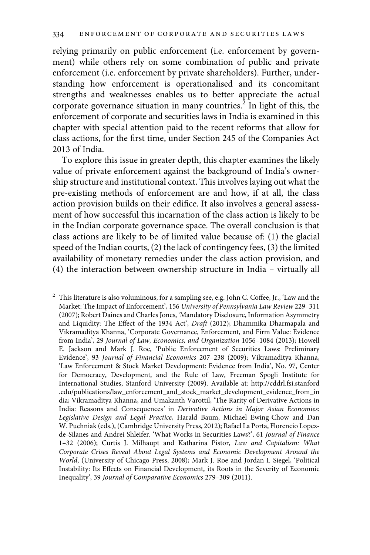relying primarily on public enforcement (i.e. enforcement by government) while others rely on some combination of public and private enforcement (i.e. enforcement by private shareholders). Further, understanding how enforcement is operationalised and its concomitant strengths and weaknesses enables us to better appreciate the actual corporate governance situation in many countries.<sup>2</sup> In light of this, the enforcement of corporate and securities laws in India is examined in this chapter with special attention paid to the recent reforms that allow for class actions, for the first time, under Section 245 of the Companies Act 2013 of India.

To explore this issue in greater depth, this chapter examines the likely value of private enforcement against the background of India's ownership structure and institutional context. This involves laying out what the pre-existing methods of enforcement are and how, if at all, the class action provision builds on their edifice. It also involves a general assessment of how successful this incarnation of the class action is likely to be in the Indian corporate governance space. The overall conclusion is that class actions are likely to be of limited value because of: (1) the glacial speed of the Indian courts, (2) the lack of contingency fees, (3) the limited availability of monetary remedies under the class action provision, and (4) the interaction between ownership structure in India – virtually all

 $2$  This literature is also voluminous, for a sampling see, e.g. John C. Coffee, Jr., 'Law and the Market: The Impact of Enforcement', 156 University of Pennsylvania Law Review 229–311 (2007); Robert Daines and Charles Jones, 'Mandatory Disclosure, Information Asymmetry and Liquidity: The Effect of the 1934 Act', Draft (2012); Dhammika Dharmapala and Vikramaditya Khanna, 'Corporate Governance, Enforcement, and Firm Value: Evidence from India', 29 Journal of Law, Economics, and Organization 1056–1084 (2013); Howell E. Jackson and Mark J. Roe, 'Public Enforcement of Securities Laws: Preliminary Evidence', 93 Journal of Financial Economics 207–238 (2009); Vikramaditya Khanna, 'Law Enforcement & Stock Market Development: Evidence from India', No. 97, Center for Democracy, Development, and the Rule of Law, Freeman Spogli Institute for International Studies, Stanford University (2009). Available at: http://cddrl.fsi.stanford .edu/publications/law\_enforcement\_and\_stock\_market\_development\_evidence\_from\_in dia; Vikramaditya Khanna, and Umakanth Varottil, 'The Rarity of Derivative Actions in India: Reasons and Consequences' in Derivative Actions in Major Asian Economies: Legislative Design and Legal Practice, Harald Baum, Michael Ewing-Chow and Dan W. Puchniak (eds.), (Cambridge University Press, 2012); Rafael La Porta, Florencio Lopezde-Silanes and Andrei Shleifer. 'What Works in Securities Laws?', 61 Journal of Finance 1–32 (2006); Curtis J. Milhaupt and Katharina Pistor, Law and Capitalism: What Corporate Crises Reveal About Legal Systems and Economic Development Around the World, (University of Chicago Press, 2008); Mark J. Roe and Jordan I. Siegel, 'Political Instability: Its Effects on Financial Development, its Roots in the Severity of Economic Inequality', 39 Journal of Comparative Economics 279–309 (2011).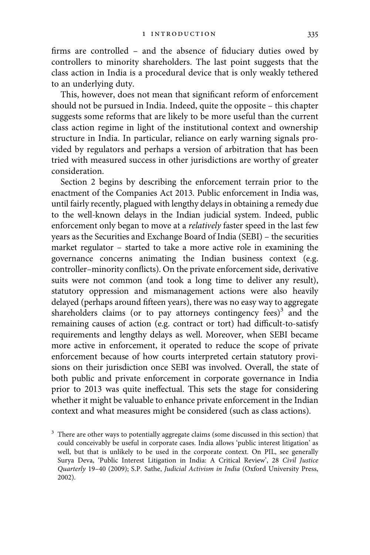firms are controlled – and the absence of fiduciary duties owed by controllers to minority shareholders. The last point suggests that the class action in India is a procedural device that is only weakly tethered to an underlying duty.

This, however, does not mean that significant reform of enforcement should not be pursued in India. Indeed, quite the opposite – this chapter suggests some reforms that are likely to be more useful than the current class action regime in light of the institutional context and ownership structure in India. In particular, reliance on early warning signals provided by regulators and perhaps a version of arbitration that has been tried with measured success in other jurisdictions are worthy of greater consideration.

Section 2 begins by describing the enforcement terrain prior to the enactment of the Companies Act 2013. Public enforcement in India was, until fairly recently, plagued with lengthy delays in obtaining a remedy due to the well-known delays in the Indian judicial system. Indeed, public enforcement only began to move at a relatively faster speed in the last few years as the Securities and Exchange Board of India (SEBI) – the securities market regulator – started to take a more active role in examining the governance concerns animating the Indian business context (e.g. controller–minority conflicts). On the private enforcement side, derivative suits were not common (and took a long time to deliver any result), statutory oppression and mismanagement actions were also heavily delayed (perhaps around fifteen years), there was no easy way to aggregate shareholders claims (or to pay attorneys contingency fees) $3$  and the remaining causes of action (e.g. contract or tort) had difficult-to-satisfy requirements and lengthy delays as well. Moreover, when SEBI became more active in enforcement, it operated to reduce the scope of private enforcement because of how courts interpreted certain statutory provisions on their jurisdiction once SEBI was involved. Overall, the state of both public and private enforcement in corporate governance in India prior to 2013 was quite ineffectual. This sets the stage for considering whether it might be valuable to enhance private enforcement in the Indian context and what measures might be considered (such as class actions).

 $3$  There are other ways to potentially aggregate claims (some discussed in this section) that could conceivably be useful in corporate cases. India allows 'public interest litigation' as well, but that is unlikely to be used in the corporate context. On PIL, see generally Surya Deva, 'Public Interest Litigation in India: A Critical Review', 28 Civil Justice Quarterly 19–40 (2009); S.P. Sathe, Judicial Activism in India (Oxford University Press, 2002).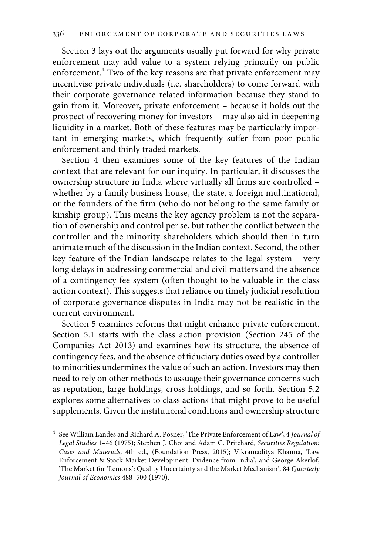Section 3 lays out the arguments usually put forward for why private enforcement may add value to a system relying primarily on public enforcement.<sup>4</sup> Two of the key reasons are that private enforcement may incentivise private individuals (i.e. shareholders) to come forward with their corporate governance related information because they stand to gain from it. Moreover, private enforcement – because it holds out the prospect of recovering money for investors – may also aid in deepening liquidity in a market. Both of these features may be particularly important in emerging markets, which frequently suffer from poor public enforcement and thinly traded markets.

Section 4 then examines some of the key features of the Indian context that are relevant for our inquiry. In particular, it discusses the ownership structure in India where virtually all firms are controlled – whether by a family business house, the state, a foreign multinational, or the founders of the firm (who do not belong to the same family or kinship group). This means the key agency problem is not the separation of ownership and control per se, but rather the conflict between the controller and the minority shareholders which should then in turn animate much of the discussion in the Indian context. Second, the other key feature of the Indian landscape relates to the legal system – very long delays in addressing commercial and civil matters and the absence of a contingency fee system (often thought to be valuable in the class action context). This suggests that reliance on timely judicial resolution of corporate governance disputes in India may not be realistic in the current environment.

Section 5 examines reforms that might enhance private enforcement. Section 5.1 starts with the class action provision (Section 245 of the Companies Act 2013) and examines how its structure, the absence of contingency fees, and the absence of fiduciary duties owed by a controller to minorities undermines the value of such an action. Investors may then need to rely on other methods to assuage their governance concerns such as reputation, large holdings, cross holdings, and so forth. Section 5.2 explores some alternatives to class actions that might prove to be useful supplements. Given the institutional conditions and ownership structure

<sup>&</sup>lt;sup>4</sup> See William Landes and Richard A. Posner, 'The Private Enforcement of Law', 4 Journal of Legal Studies 1–46 (1975); Stephen J. Choi and Adam C. Pritchard, Securities Regulation: Cases and Materials, 4th ed., (Foundation Press, 2015); Vikramaditya Khanna, 'Law Enforcement & Stock Market Development: Evidence from India'; and George Akerlof, 'The Market for 'Lemons': Quality Uncertainty and the Market Mechanism', 84 Quarterly Journal of Economics 488–500 (1970).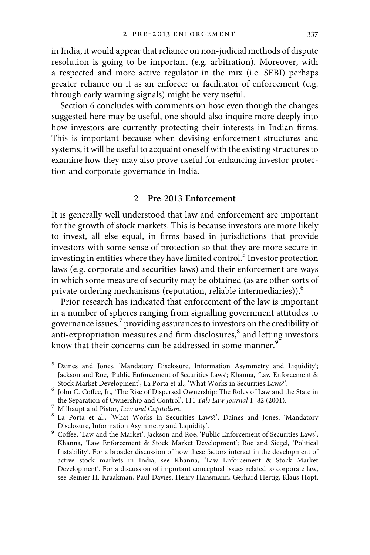in India, it would appear that reliance on non-judicial methods of dispute resolution is going to be important (e.g. arbitration). Moreover, with a respected and more active regulator in the mix (i.e. SEBI) perhaps greater reliance on it as an enforcer or facilitator of enforcement (e.g. through early warning signals) might be very useful.

Section 6 concludes with comments on how even though the changes suggested here may be useful, one should also inquire more deeply into how investors are currently protecting their interests in Indian firms. This is important because when devising enforcement structures and systems, it will be useful to acquaint oneself with the existing structures to examine how they may also prove useful for enhancing investor protection and corporate governance in India.

#### 2 Pre-2013 Enforcement

It is generally well understood that law and enforcement are important for the growth of stock markets. This is because investors are more likely to invest, all else equal, in firms based in jurisdictions that provide investors with some sense of protection so that they are more secure in investing in entities where they have limited control.<sup>5</sup> Investor protection laws (e.g. corporate and securities laws) and their enforcement are ways in which some measure of security may be obtained (as are other sorts of private ordering mechanisms (reputation, reliable intermediaries)).<sup>6</sup>

Prior research has indicated that enforcement of the law is important in a number of spheres ranging from signalling government attitudes to governance issues, $\frac{7}{7}$  providing assurances to investors on the credibility of anti-expropriation measures and firm disclosures, $\delta$  and letting investors know that their concerns can be addressed in some manner.<sup>9</sup>

- <sup>5</sup> Daines and Jones, 'Mandatory Disclosure, Information Asymmetry and Liquidity'; Jackson and Roe, 'Public Enforcement of Securities Laws'; Khanna, 'Law Enforcement &
- Stock Market Development'; La Porta et al., 'What Works in Securities Laws?'.<br>
<sup>6</sup> John C. Coffee, Jr., 'The Rise of Dispersed Ownership: The Roles of Law and the State in<br>
the Separation of Ownership and Control', 111 *Ya*
- 
- % Ownership and Pistor, *Law and Capitalism.*<br>
<sup>8</sup> La Porta et al., 'What Works in Securities Laws?'; Daines and Jones, 'Mandatory<br>
Disclosure, Information Asymmetry and Liquidity'.
- $9$  Coffee, 'Law and the Market'; Jackson and Roe, 'Public Enforcement of Securities Laws'; Khanna, 'Law Enforcement & Stock Market Development'; Roe and Siegel, 'Political Instability'. For a broader discussion of how these factors interact in the development of active stock markets in India, see Khanna, 'Law Enforcement & Stock Market Development'. For a discussion of important conceptual issues related to corporate law, see Reinier H. Kraakman, Paul Davies, Henry Hansmann, Gerhard Hertig, Klaus Hopt,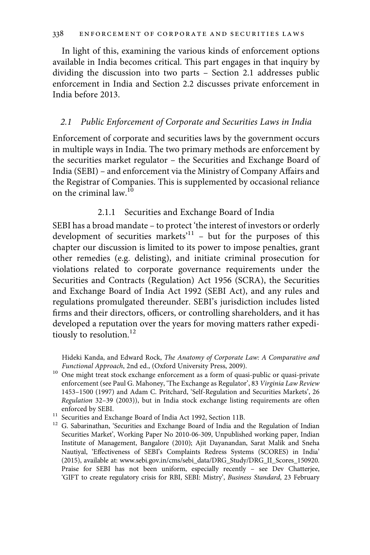In light of this, examining the various kinds of enforcement options available in India becomes critical. This part engages in that inquiry by dividing the discussion into two parts – Section 2.1 addresses public enforcement in India and Section 2.2 discusses private enforcement in India before 2013.

#### 2.1 Public Enforcement of Corporate and Securities Laws in India

Enforcement of corporate and securities laws by the government occurs in multiple ways in India. The two primary methods are enforcement by the securities market regulator – the Securities and Exchange Board of India (SEBI) – and enforcement via the Ministry of Company Affairs and the Registrar of Companies. This is supplemented by occasional reliance on the criminal law. $^{10}$ 

#### 2.1.1 Securities and Exchange Board of India

SEBI has a broad mandate – to protect 'the interest of investors or orderly development of securities markets<sup>'11</sup> - but for the purposes of this chapter our discussion is limited to its power to impose penalties, grant other remedies (e.g. delisting), and initiate criminal prosecution for violations related to corporate governance requirements under the Securities and Contracts (Regulation) Act 1956 (SCRA), the Securities and Exchange Board of India Act 1992 (SEBI Act), and any rules and regulations promulgated thereunder. SEBI's jurisdiction includes listed firms and their directors, officers, or controlling shareholders, and it has developed a reputation over the years for moving matters rather expeditiously to resolution. $12$ 

Hideki Kanda, and Edward Rock, The Anatomy of Corporate Law: A Comparative and

 $\emph{Functional Approach},$  2nd ed., (Oxford University Press, 2009).  $^{10}$  One might treat stock exchange enforcement as a form of quasi-public or quasi-private enforcement (see Paul G. Mahoney, 'The Exchange as Regulator', 83 Virginia Law Review 1453–1500 (1997) and Adam C. Pritchard, 'Self-Regulation and Securities Markets', 26 Regulation 32–39 (2003)), but in India stock exchange listing requirements are often

enforced by SEBI. 11 Securities and Exchange Board of India Act 1992, Section 11B. 12 G. Sabarinathan, 'Securities and Exchange Board of India and the Regulation of Indian 12 G. Securities Market', Working Paper No 2010-06-309, Unpublished working paper, Indian Institute of Management, Bangalore (2010); Ajit Dayanandan, Sarat Malik and Sneha Nautiyal, 'Effectiveness of SEBI's Complaints Redress Systems (SCORES) in India' (2015), available at: www.sebi.gov.in/cms/sebi\_data/DRG\_Study/DRG\_II\_Scores\_150920. Praise for SEBI has not been uniform, especially recently – see Dev Chatterjee, 'GIFT to create regulatory crisis for RBI, SEBI: Mistry', Business Standard, 23 February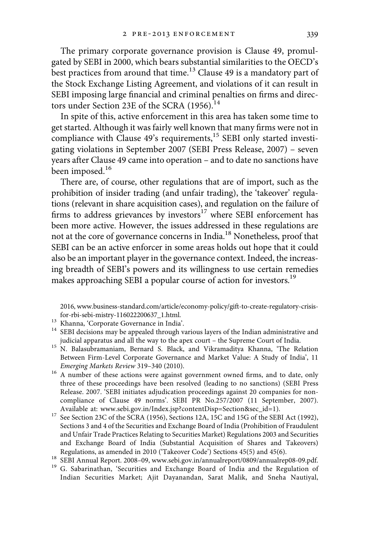The primary corporate governance provision is Clause 49, promulgated by SEBI in 2000, which bears substantial similarities to the OECD's best practices from around that time.<sup>13</sup> Clause 49 is a mandatory part of the Stock Exchange Listing Agreement, and violations of it can result in SEBI imposing large financial and criminal penalties on firms and directors under Section 23E of the SCRA (1956).<sup>14</sup>

In spite of this, active enforcement in this area has taken some time to get started. Although it was fairly well known that many firms were not in compliance with Clause  $49$ 's requirements,<sup>15</sup> SEBI only started investigating violations in September 2007 (SEBI Press Release, 2007) – seven years after Clause 49 came into operation – and to date no sanctions have been imposed.<sup>16</sup>

There are, of course, other regulations that are of import, such as the prohibition of insider trading (and unfair trading), the 'takeover' regulations (relevant in share acquisition cases), and regulation on the failure of firms to address grievances by investors $17$  where SEBI enforcement has been more active. However, the issues addressed in these regulations are not at the core of governance concerns in India.18 Nonetheless, proof that SEBI can be an active enforcer in some areas holds out hope that it could also be an important player in the governance context. Indeed, the increasing breadth of SEBI's powers and its willingness to use certain remedies makes approaching SEBI a popular course of action for investors.<sup>19</sup>

2016, www.business-standard.com/article/economy-policy/gift-to-create-regulatory-crisis-

- 
- for-rbi-sebi-mistry-116022200637\_1.html. 13 Khanna, 'Corporate Governance in India'. 14 SEBI decisions may be appealed through various layers of the Indian administrative and 14 SEBI decisions may be appealed through vari
- judicial apparatus and all the way to the apex court the Supreme Court of India. <sup>15</sup> N. Balasubramaniam, Bernard S. Black, and Vikramaditya Khanna, 'The Relation Between Firm-Level Corporate Governance and Market Value: A Study of India', 11
- Emerging Markets Review 319–340 (2010).  $16$  A number of these actions were against government owned firms, and to date, only three of these proceedings have been resolved (leading to no sanctions) (SEBI Press Release. 2007. 'SEBI initiates adjudication proceedings against 20 companies for noncompliance of Clause 49 norms'. SEBI PR No.257/2007 (11 September, 2007).
- Available at: www.sebi.gov.in/Index.jsp?contentDisp=Section&sec\_id=1). <sup>17</sup> See Section 23C of the SCRA (1956), Sections 12A, 15C and 15G of the SEBI Act (1992), Sections 3 and 4 of the Securities and Exchange Board of India (Prohibition of Fraudulent and Unfair Trade Practices Relating to Securities Market) Regulations 2003 and Securities and Exchange Board of India (Substantial Acquisition of Shares and Takeovers) Regulations, as amended in 2010 ('Takeover Code') Sections 45(5) and 45(6).
- 
- <sup>18</sup> SEBI Annual Report. 2008–09, www.sebi.gov.in/annualreport/0809/annualrep08-09.pdf.<br><sup>19</sup> G. Sabarinathan, 'Securities and Exchange Board of India and the Regulation of Indian Securities Market; Ajit Dayanandan, Sarat Malik, and Sneha Nautiyal,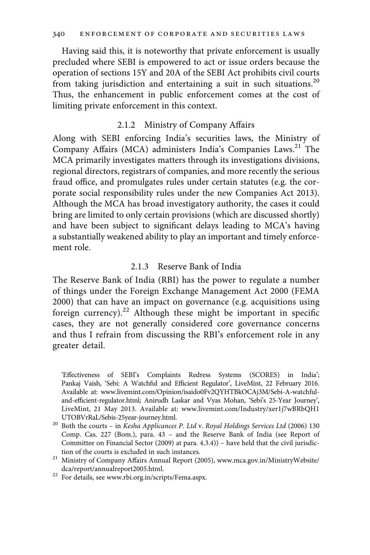Having said this, it is noteworthy that private enforcement is usually precluded where SEBI is empowered to act or issue orders because the operation of sections 15Y and 20A of the SEBI Act prohibits civil courts from taking jurisdiction and entertaining a suit in such situations.<sup>20</sup> Thus, the enhancement in public enforcement comes at the cost of limiting private enforcement in this context.

#### 2.1.2 Ministry of Company Affairs

Along with SEBI enforcing India's securities laws, the Ministry of Company Affairs (MCA) administers India's Companies Laws.<sup>21</sup> The MCA primarily investigates matters through its investigations divisions, regional directors, registrars of companies, and more recently the serious fraud office, and promulgates rules under certain statutes (e.g. the corporate social responsibility rules under the new Companies Act 2013). Although the MCA has broad investigatory authority, the cases it could bring are limited to only certain provisions (which are discussed shortly) and have been subject to significant delays leading to MCA's having a substantially weakened ability to play an important and timely enforcement role.

#### 2.1.3 Reserve Bank of India

The Reserve Bank of India (RBI) has the power to regulate a number of things under the Foreign Exchange Management Act 2000 (FEMA 2000) that can have an impact on governance (e.g. acquisitions using foreign currency). $22$  Although these might be important in specific cases, they are not generally considered core governance concerns and thus I refrain from discussing the RBI's enforcement role in any greater detail.

'Effectiveness of SEBI's Complaints Redress Systems (SCORES) in India'; Pankaj Vaish, 'Sebi: A Watchful and Efficient Regulator', LiveMint, 22 February 2016. Available at: www.livemint.com/Opinion/isaido0Fv2QYHTBkOCAj3M/Sebi-A-watchfuland-efficient-regulator.html; Anirudh Laskar and Vyas Mohan, 'Sebi's 25-Year Journey', LiveMint, 21 May 2013. Available at: www.livemint.com/Industry/xer1j7wBRbQH1

- UTOBVrRaL/Sebis-25year-journey.html. <sup>20</sup> Both the courts in Kesha Applicances P. Ltd v. Royal Holdings Services Ltd (2006) 130 Comp. Cas. 227 (Bom.), para. 43 – and the Reserve Bank of India (see Report of Committee on Financial Sector (2009) at para. 4.3.4)) – have held that the civil jurisdic-
- tion of the courts is excluded in such instances.<br> $^{21}$  Ministry of Company Affairs Annual Report (2005), www.mca.gov.in/MinistryWebsite/
- dca/report/annualreport2005.html.<br><sup>22</sup> For details, see www.rbi.org.in/scripts/Fema.aspx.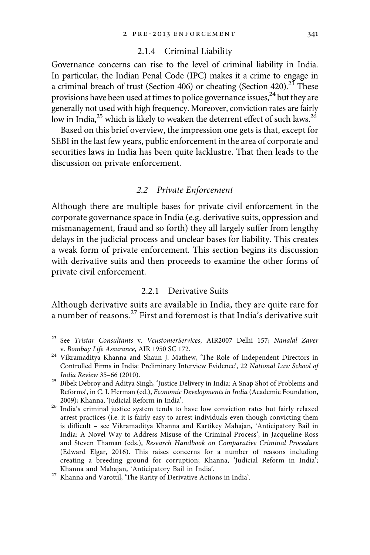#### 2.1.4 Criminal Liability

Governance concerns can rise to the level of criminal liability in India. In particular, the Indian Penal Code (IPC) makes it a crime to engage in a criminal breach of trust (Section 406) or cheating (Section 420).<sup>23</sup> These provisions have been used at times to police governance issues,  $24$  but they are generally not used with high frequency. Moreover, conviction rates are fairly low in India, $^{25}$  which is likely to weaken the deterrent effect of such laws.<sup>26</sup>

Based on this brief overview, the impression one gets is that, except for SEBI in the last few years, public enforcement in the area of corporate and securities laws in India has been quite lacklustre. That then leads to the discussion on private enforcement.

#### 2.2 Private Enforcement

Although there are multiple bases for private civil enforcement in the corporate governance space in India (e.g. derivative suits, oppression and mismanagement, fraud and so forth) they all largely suffer from lengthy delays in the judicial process and unclear bases for liability. This creates a weak form of private enforcement. This section begins its discussion with derivative suits and then proceeds to examine the other forms of private civil enforcement.

#### 2.2.1 Derivative Suits

Although derivative suits are available in India, they are quite rare for a number of reasons.<sup>27</sup> First and foremost is that India's derivative suit

- <sup>23</sup> See Tristar Consultants v. VcustomerServices, AIR2007 Delhi 157; Nanalal Zaver
- v. Bombay Life Assurance, AIR 1950 SC 172.<br><sup>24</sup> Vikramaditya Khanna and Shaun J. Mathew, 'The Role of Independent Directors in Controlled Firms in India: Preliminary Interview Evidence', 22 National Law School of
- India Review 35–66 (2010). 25 Bibek Debroy and Aditya Singh, 'Justice Delivery in India: A Snap Shot of Problems and Reforms', in C. I. Herman (ed.), Economic Developments in India (Academic Foundation,
- 2009); Khanna, 'Judicial Reform in India'.  $26$  India's criminal justice system tends to have low conviction rates but fairly relaxed arrest practices (i.e. it is fairly easy to arrest individuals even though convicting them is difficult – see Vikramaditya Khanna and Kartikey Mahajan, 'Anticipatory Bail in India: A Novel Way to Address Misuse of the Criminal Process', in Jacqueline Ross and Steven Thaman (eds.), Research Handbook on Comparative Criminal Procedure (Edward Elgar, 2016). This raises concerns for a number of reasons including creating a breeding ground for corruption; Khanna, 'Judicial Reform in India';

Khanna and Mahajan, 'Anticipatory Bail in India'. $^{\rm 27}$ Khanna and Varottil, 'The Rarity of Derivative Actions in India'.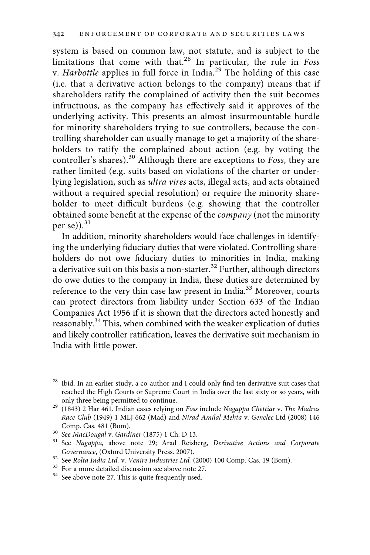system is based on common law, not statute, and is subject to the limitations that come with that.<sup>28</sup> In particular, the rule in Foss v. Harbottle applies in full force in India.<sup>29</sup> The holding of this case (i.e. that a derivative action belongs to the company) means that if shareholders ratify the complained of activity then the suit becomes infructuous, as the company has effectively said it approves of the underlying activity. This presents an almost insurmountable hurdle for minority shareholders trying to sue controllers, because the controlling shareholder can usually manage to get a majority of the shareholders to ratify the complained about action (e.g. by voting the controller's shares).<sup>30</sup> Although there are exceptions to Foss, they are rather limited (e.g. suits based on violations of the charter or underlying legislation, such as ultra vires acts, illegal acts, and acts obtained without a required special resolution) or require the minority shareholder to meet difficult burdens (e.g. showing that the controller obtained some benefit at the expense of the company (not the minority per se) $).$ <sup>31</sup>

In addition, minority shareholders would face challenges in identifying the underlying fiduciary duties that were violated. Controlling shareholders do not owe fiduciary duties to minorities in India, making a derivative suit on this basis a non-starter.<sup>32</sup> Further, although directors do owe duties to the company in India, these duties are determined by reference to the very thin case law present in India.33 Moreover, courts can protect directors from liability under Section 633 of the Indian Companies Act 1956 if it is shown that the directors acted honestly and reasonably.<sup>34</sup> This, when combined with the weaker explication of duties and likely controller ratification, leaves the derivative suit mechanism in India with little power.

<sup>&</sup>lt;sup>28</sup> Ibid. In an earlier study, a co-author and I could only find ten derivative suit cases that reached the High Courts or Supreme Court in India over the last sixty or so years, with

only three being permitted to continue.<br><sup>29</sup> (1843) 2 Har 461. Indian cases relying on Foss include Nagappa Chettiar v. The Madras Race Club (1949) 1 MLJ 662 (Mad) and Nirad Amilal Mehta v. Genelec Ltd (2008) 146

Comp. Cas. 481 (Bom).<br><sup>30</sup> See MacDougal v. Gardiner (1875) 1 Ch. D 13.<br><sup>31</sup> See Nagappa, above note 29; Arad Reisberg, *Derivative Actions and Corporate*<br>Governance, (Oxford University Press. 2007).

 $^{32}$  See Rolta India Ltd. v. Venire Industries Ltd. (2000) 100 Comp. Cas. 19 (Bom).  $^{33}$  For a more detailed discussion see above note 27.  $^{34}$  See above note 27. This is quite frequently used.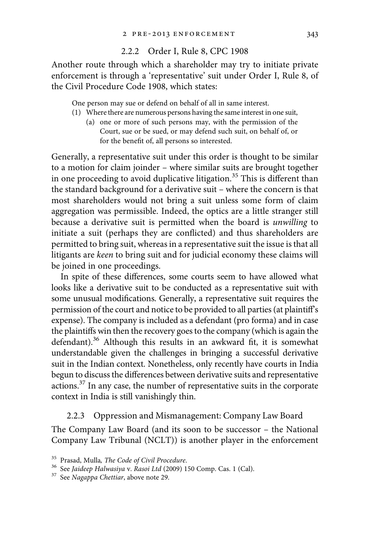#### 2.2.2 Order I, Rule 8, CPC 1908

Another route through which a shareholder may try to initiate private enforcement is through a 'representative' suit under Order I, Rule 8, of the Civil Procedure Code 1908, which states:

One person may sue or defend on behalf of all in same interest.

- (1) Where there are numerous persons having the same interest in one suit,
	- (a) one or more of such persons may, with the permission of the Court, sue or be sued, or may defend such suit, on behalf of, or for the benefit of, all persons so interested.

Generally, a representative suit under this order is thought to be similar to a motion for claim joinder – where similar suits are brought together in one proceeding to avoid duplicative litigation.<sup>35</sup> This is different than the standard background for a derivative suit – where the concern is that most shareholders would not bring a suit unless some form of claim aggregation was permissible. Indeed, the optics are a little stranger still because a derivative suit is permitted when the board is unwilling to initiate a suit (perhaps they are conflicted) and thus shareholders are permitted to bring suit, whereas in a representative suit the issue is that all litigants are keen to bring suit and for judicial economy these claims will be joined in one proceedings.

In spite of these differences, some courts seem to have allowed what looks like a derivative suit to be conducted as a representative suit with some unusual modifications. Generally, a representative suit requires the permission of the court and notice to be provided to all parties (at plaintiff's expense). The company is included as a defendant (pro forma) and in case the plaintiffs win then the recovery goes to the company (which is again the defendant).<sup>36</sup> Although this results in an awkward fit, it is somewhat understandable given the challenges in bringing a successful derivative suit in the Indian context. Nonetheless, only recently have courts in India begun to discuss the differences between derivative suits and representative actions.37 In any case, the number of representative suits in the corporate context in India is still vanishingly thin.

2.2.3 Oppression and Mismanagement: Company Law Board

The Company Law Board (and its soon to be successor – the National Company Law Tribunal (NCLT)) is another player in the enforcement

<sup>&</sup>lt;sup>35</sup> Prasad, Mulla, *The Code of Civil Procedure.*  $36$  See *Jaideep Halwasiya v. Rasoi Ltd* (2009) 150 Comp. Cas. 1 (Cal).  $37$  See N*agappa Chettiar*, above note 29.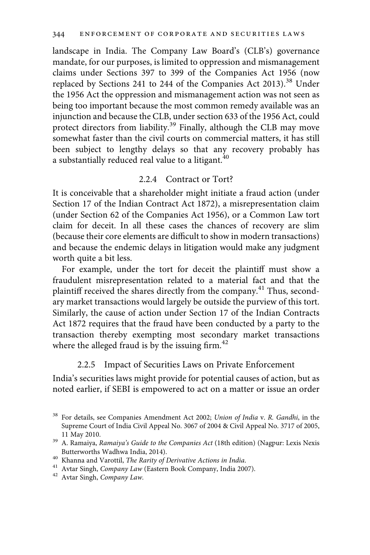landscape in India. The Company Law Board's (CLB's) governance mandate, for our purposes, is limited to oppression and mismanagement claims under Sections 397 to 399 of the Companies Act 1956 (now replaced by Sections 241 to 244 of the Companies Act 2013).<sup>38</sup> Under the 1956 Act the oppression and mismanagement action was not seen as being too important because the most common remedy available was an injunction and because the CLB, under section 633 of the 1956 Act, could protect directors from liability.<sup>39</sup> Finally, although the CLB may move somewhat faster than the civil courts on commercial matters, it has still been subject to lengthy delays so that any recovery probably has a substantially reduced real value to a litigant.<sup>40</sup>

#### 2.2.4 Contract or Tort?

It is conceivable that a shareholder might initiate a fraud action (under Section 17 of the Indian Contract Act 1872), a misrepresentation claim (under Section 62 of the Companies Act 1956), or a Common Law tort claim for deceit. In all these cases the chances of recovery are slim (because their core elements are difficult to show in modern transactions) and because the endemic delays in litigation would make any judgment worth quite a bit less.

For example, under the tort for deceit the plaintiff must show a fraudulent misrepresentation related to a material fact and that the plaintiff received the shares directly from the company.<sup>41</sup> Thus, secondary market transactions would largely be outside the purview of this tort. Similarly, the cause of action under Section 17 of the Indian Contracts Act 1872 requires that the fraud have been conducted by a party to the transaction thereby exempting most secondary market transactions where the alleged fraud is by the issuing firm. $^{42}$ 

#### 2.2.5 Impact of Securities Laws on Private Enforcement

India's securities laws might provide for potential causes of action, but as noted earlier, if SEBI is empowered to act on a matter or issue an order

<sup>&</sup>lt;sup>38</sup> For details, see Companies Amendment Act 2002; Union of India v. R. Gandhi, in the Supreme Court of India Civil Appeal No. 3067 of 2004 & Civil Appeal No. 3717 of 2005,

<sup>11</sup> May 2010. 39 A. Ramaiya, Ramaiya's Guide to the Companies Act (18th edition) (Nagpur: Lexis Nexis Butterworths Wadhwa India, 2014).

 $^{40}$ Khanna and Varottil, The Rarity of Derivative Actions in India.  $^{41}$  Avtar Singh, Company Law (Eastern Book Company, India 2007).  $^{42}$  Avtar Singh, Company Law.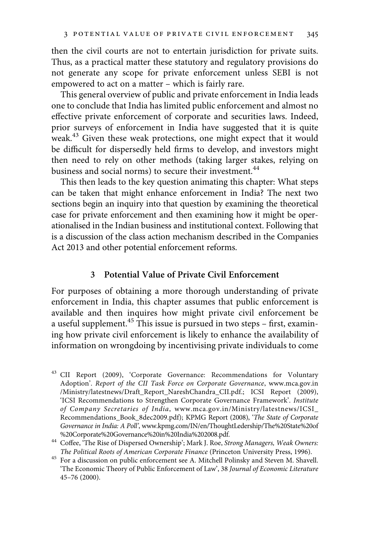then the civil courts are not to entertain jurisdiction for private suits. Thus, as a practical matter these statutory and regulatory provisions do not generate any scope for private enforcement unless SEBI is not empowered to act on a matter – which is fairly rare.

This general overview of public and private enforcement in India leads one to conclude that India has limited public enforcement and almost no effective private enforcement of corporate and securities laws. Indeed, prior surveys of enforcement in India have suggested that it is quite weak.43 Given these weak protections, one might expect that it would be difficult for dispersedly held firms to develop, and investors might then need to rely on other methods (taking larger stakes, relying on business and social norms) to secure their investment.<sup>44</sup>

This then leads to the key question animating this chapter: What steps can be taken that might enhance enforcement in India? The next two sections begin an inquiry into that question by examining the theoretical case for private enforcement and then examining how it might be operationalised in the Indian business and institutional context. Following that is a discussion of the class action mechanism described in the Companies Act 2013 and other potential enforcement reforms.

#### 3 Potential Value of Private Civil Enforcement

For purposes of obtaining a more thorough understanding of private enforcement in India, this chapter assumes that public enforcement is available and then inquires how might private civil enforcement be a useful supplement.<sup>45</sup> This issue is pursued in two steps - first, examining how private civil enforcement is likely to enhance the availability of information on wrongdoing by incentivising private individuals to come

<sup>43</sup> CII Report (2009), 'Corporate Governance: Recommendations for Voluntary Adoption'. Report of the CII Task Force on Corporate Governance, www.mca.gov.in /Ministry/latestnews/Draft\_Report\_NareshChandra\_CII.pdf.; ICSI Report (2009), 'ICSI Recommendations to Strengthen Corporate Governance Framework'. Institute of Company Secretaries of India, www.mca.gov.in/Ministry/latestnews/ICSI\_ Recommendations\_Book\_8dec2009.pdf); KPMG Report (2008), 'The State of Corporate Governance in India: A Poll', www.kpmg.com/IN/en/ThoughtLedership/The%20State%20of

<sup>%20</sup>Corporate%20Governance%20in%20India%202008.pdf.<br><sup>44</sup> Coffee, 'The Rise of Dispersed Ownership'; Mark J. Roe, *Strong Managers, Weak Owners:*<br>*The Political Roots of American Corporate Finance* (Princeton University Pres

<sup>&</sup>lt;sup>45</sup> For a discussion on public enforcement see A. Mitchell Polinsky and Steven M. Shavell. 'The Economic Theory of Public Enforcement of Law', 38 Journal of Economic Literature 45–76 (2000).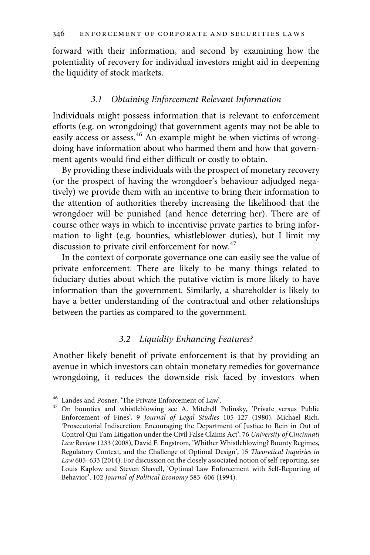forward with their information, and second by examining how the potentiality of recovery for individual investors might aid in deepening the liquidity of stock markets.

### 3.1 Obtaining Enforcement Relevant Information

Individuals might possess information that is relevant to enforcement efforts (e.g. on wrongdoing) that government agents may not be able to easily access or assess.<sup>46</sup> An example might be when victims of wrongdoing have information about who harmed them and how that government agents would find either difficult or costly to obtain.

By providing these individuals with the prospect of monetary recovery (or the prospect of having the wrongdoer's behaviour adjudged negatively) we provide them with an incentive to bring their information to the attention of authorities thereby increasing the likelihood that the wrongdoer will be punished (and hence deterring her). There are of course other ways in which to incentivise private parties to bring information to light (e.g. bounties, whistleblower duties), but I limit my discussion to private civil enforcement for now.<sup>47</sup>

In the context of corporate governance one can easily see the value of private enforcement. There are likely to be many things related to fiduciary duties about which the putative victim is more likely to have information than the government. Similarly, a shareholder is likely to have a better understanding of the contractual and other relationships between the parties as compared to the government.

#### 3.2 Liquidity Enhancing Features?

Another likely benefit of private enforcement is that by providing an avenue in which investors can obtain monetary remedies for governance wrongdoing, it reduces the downside risk faced by investors when

<sup>&</sup>lt;sup>46</sup> Landes and Posner, 'The Private Enforcement of Law'.<br><sup>47</sup> On bounties and whistleblowing see A. Mitchell Polinsky, 'Private versus Public Enforcement of Fines', 9 Journal of Legal Studies 105–127 (1980), Michael Rich, 'Prosecutorial Indiscretion: Encouraging the Department of Justice to Rein in Out of Control Qui Tam Litigation under the Civil False Claims Act', 76 University of Cincinnati Law Review 1233 (2008), David F. Engstrom, 'Whither Whistleblowing? Bounty Regimes, Regulatory Context, and the Challenge of Optimal Design', 15 Theoretical Inquiries in Law 605–633 (2014). For discussion on the closely associated notion of self-reporting, see Louis Kaplow and Steven Shavell, 'Optimal Law Enforcement with Self-Reporting of Behavior', 102 Journal of Political Economy 583–606 (1994).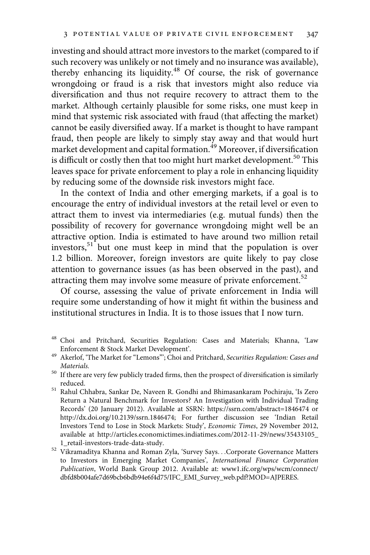investing and should attract more investors to the market (compared to if such recovery was unlikely or not timely and no insurance was available), thereby enhancing its liquidity.<sup>48</sup> Of course, the risk of governance wrongdoing or fraud is a risk that investors might also reduce via diversification and thus not require recovery to attract them to the market. Although certainly plausible for some risks, one must keep in mind that systemic risk associated with fraud (that affecting the market) cannot be easily diversified away. If a market is thought to have rampant fraud, then people are likely to simply stay away and that would hurt market development and capital formation.<sup>49</sup> Moreover, if diversification is difficult or costly then that too might hurt market development.<sup>50</sup> This leaves space for private enforcement to play a role in enhancing liquidity by reducing some of the downside risk investors might face.

In the context of India and other emerging markets, if a goal is to encourage the entry of individual investors at the retail level or even to attract them to invest via intermediaries (e.g. mutual funds) then the possibility of recovery for governance wrongdoing might well be an attractive option. India is estimated to have around two million retail investors,<sup>51</sup> but one must keep in mind that the population is over 1.2 billion. Moreover, foreign investors are quite likely to pay close attention to governance issues (as has been observed in the past), and attracting them may involve some measure of private enforcement.<sup>52</sup>

Of course, assessing the value of private enforcement in India will require some understanding of how it might fit within the business and institutional structures in India. It is to those issues that I now turn.

- <sup>48</sup> Choi and Pritchard, Securities Regulation: Cases and Materials; Khanna, 'Law
- Enforcement & Stock Market Development'.<br> $^{49}$ Akerlof, 'The Market for "Lemons"'; Choi and Pritchard, Securities Regulation: Cases and
- $\emph{Materials.}$  <br> 16 If there are very few publicly traded firms, then the prospect of diversification is similarly reduced. 51 Rahul Chhabra, Sankar De, Naveen R. Gondhi and Bhimasankaram Pochiraju, 'Is Zero
- Return a Natural Benchmark for Investors? An Investigation with Individual Trading Records' (20 January 2012). Available at SSRN: https://ssrn.com/abstract=1846474 or http://dx.doi.org/10.2139/ssrn.1846474; For further discussion see 'Indian Retail Investors Tend to Lose in Stock Markets: Study', Economic Times, 29 November 2012, available at http://articles.economictimes.indiatimes.com/2012-11-29/news/35433105\_
- $1\_retail-investors-trade-data-study.$ 52 Vikramaditya Khanna and Roman Zyla, 'Survey Says...Corporate Governance Matters to Investors in Emerging Market Companies', International Finance Corporation Publication, World Bank Group 2012. Available at: www1.ifc.org/wps/wcm/connect/ dbfd8b004afe7d69bcb6bdb94e6f4d75/IFC\_EMI\_Survey\_web.pdf?MOD=AJPERES.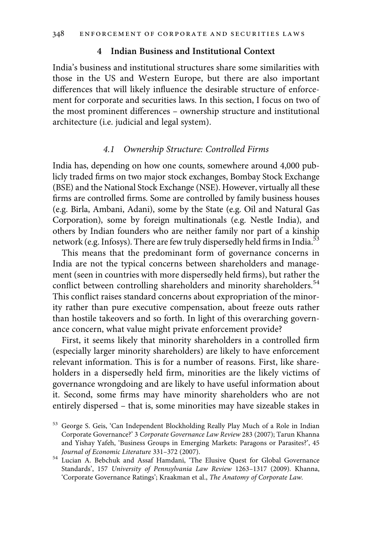### 4 Indian Business and Institutional Context

India's business and institutional structures share some similarities with those in the US and Western Europe, but there are also important differences that will likely influence the desirable structure of enforcement for corporate and securities laws. In this section, I focus on two of the most prominent differences – ownership structure and institutional architecture (i.e. judicial and legal system).

#### 4.1 Ownership Structure: Controlled Firms

India has, depending on how one counts, somewhere around 4,000 publicly traded firms on two major stock exchanges, Bombay Stock Exchange (BSE) and the National Stock Exchange (NSE). However, virtually all these firms are controlled firms. Some are controlled by family business houses (e.g. Birla, Ambani, Adani), some by the State (e.g. Oil and Natural Gas Corporation), some by foreign multinationals (e.g. Nestle India), and others by Indian founders who are neither family nor part of a kinship network (e.g. Infosys). There are few truly dispersedly held firms in India.<sup>53</sup>

This means that the predominant form of governance concerns in India are not the typical concerns between shareholders and management (seen in countries with more dispersedly held firms), but rather the conflict between controlling shareholders and minority shareholders.<sup>54</sup> This conflict raises standard concerns about expropriation of the minority rather than pure executive compensation, about freeze outs rather than hostile takeovers and so forth. In light of this overarching governance concern, what value might private enforcement provide?

First, it seems likely that minority shareholders in a controlled firm (especially larger minority shareholders) are likely to have enforcement relevant information. This is for a number of reasons. First, like shareholders in a dispersedly held firm, minorities are the likely victims of governance wrongdoing and are likely to have useful information about it. Second, some firms may have minority shareholders who are not entirely dispersed – that is, some minorities may have sizeable stakes in

<sup>53</sup> George S. Geis, 'Can Independent Blockholding Really Play Much of a Role in Indian Corporate Governance?' 3 Corporate Governance Law Review 283 (2007); Tarun Khanna and Yishay Yafeh, 'Business Groups in Emerging Markets: Paragons or Parasites?', 45 Journal of Economic Literature 331-372 (2007).

<sup>&</sup>lt;sup>54</sup> Lucian A. Bebchuk and Assaf Hamdani, 'The Elusive Quest for Global Governance Standards', 157 University of Pennsylvania Law Review 1263–1317 (2009). Khanna, 'Corporate Governance Ratings'; Kraakman et al., The Anatomy of Corporate Law.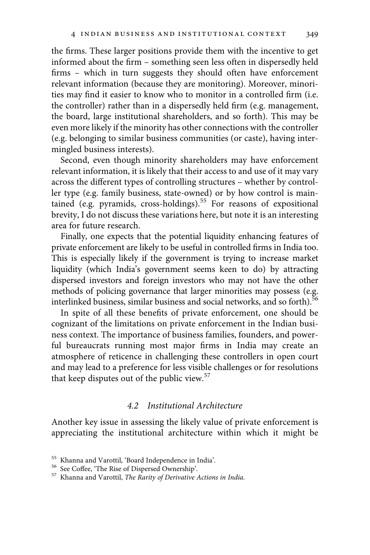the firms. These larger positions provide them with the incentive to get informed about the firm – something seen less often in dispersedly held firms – which in turn suggests they should often have enforcement relevant information (because they are monitoring). Moreover, minorities may find it easier to know who to monitor in a controlled firm (i.e. the controller) rather than in a dispersedly held firm (e.g. management, the board, large institutional shareholders, and so forth). This may be even more likely if the minority has other connections with the controller (e.g. belonging to similar business communities (or caste), having intermingled business interests).

Second, even though minority shareholders may have enforcement relevant information, it is likely that their access to and use of it may vary across the different types of controlling structures – whether by controller type (e.g. family business, state-owned) or by how control is maintained (e.g. pyramids, cross-holdings).<sup>55</sup> For reasons of expositional brevity, I do not discuss these variations here, but note it is an interesting area for future research.

Finally, one expects that the potential liquidity enhancing features of private enforcement are likely to be useful in controlled firms in India too. This is especially likely if the government is trying to increase market liquidity (which India's government seems keen to do) by attracting dispersed investors and foreign investors who may not have the other methods of policing governance that larger minorities may possess (e.g. interlinked business, similar business and social networks, and so forth).<sup>56</sup>

In spite of all these benefits of private enforcement, one should be cognizant of the limitations on private enforcement in the Indian business context. The importance of business families, founders, and powerful bureaucrats running most major firms in India may create an atmosphere of reticence in challenging these controllers in open court and may lead to a preference for less visible challenges or for resolutions that keep disputes out of the public view.<sup>57</sup>

#### 4.2 Institutional Architecture

Another key issue in assessing the likely value of private enforcement is appreciating the institutional architecture within which it might be

<sup>&</sup>lt;sup>55</sup> Khanna and Varottil, 'Board Independence in India'.<br><sup>56</sup> See Coffee, 'The Rise of Dispersed Ownership'.<br><sup>57</sup> Khanna and Varottil, *The Rarity of Derivative Actions in India*.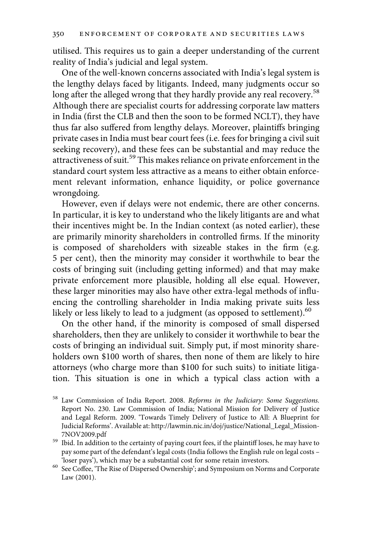utilised. This requires us to gain a deeper understanding of the current reality of India's judicial and legal system.

One of the well-known concerns associated with India's legal system is the lengthy delays faced by litigants. Indeed, many judgments occur so long after the alleged wrong that they hardly provide any real recovery.<sup>58</sup> Although there are specialist courts for addressing corporate law matters in India (first the CLB and then the soon to be formed NCLT), they have thus far also suffered from lengthy delays. Moreover, plaintiffs bringing private cases in India must bear court fees (i.e. fees for bringing a civil suit seeking recovery), and these fees can be substantial and may reduce the attractiveness of suit.<sup>59</sup> This makes reliance on private enforcement in the standard court system less attractive as a means to either obtain enforcement relevant information, enhance liquidity, or police governance wrongdoing.

However, even if delays were not endemic, there are other concerns. In particular, it is key to understand who the likely litigants are and what their incentives might be. In the Indian context (as noted earlier), these are primarily minority shareholders in controlled firms. If the minority is composed of shareholders with sizeable stakes in the firm (e.g. 5 per cent), then the minority may consider it worthwhile to bear the costs of bringing suit (including getting informed) and that may make private enforcement more plausible, holding all else equal. However, these larger minorities may also have other extra-legal methods of influencing the controlling shareholder in India making private suits less likely or less likely to lead to a judgment (as opposed to settlement).<sup>60</sup>

On the other hand, if the minority is composed of small dispersed shareholders, then they are unlikely to consider it worthwhile to bear the costs of bringing an individual suit. Simply put, if most minority shareholders own \$100 worth of shares, then none of them are likely to hire attorneys (who charge more than \$100 for such suits) to initiate litigation. This situation is one in which a typical class action with a

<sup>58</sup> Law Commission of India Report. 2008. Reforms in the Judiciary: Some Suggestions. Report No. 230. Law Commission of India; National Mission for Delivery of Justice and Legal Reform. 2009. 'Towards Timely Delivery of Justice to All: A Blueprint for Judicial Reforms'. Available at: http://lawmin.nic.in/doj/justice/National\_Legal\_Mission-

 $^{59}$  Ibid. In addition to the certainty of paying court fees, if the plaintiff loses, he may have to pay some part of the defendant's legal costs (India follows the English rule on legal costs –

<sup>&#</sup>x27;loser pays'), which may be a substantial cost for some retain investors.  $\,^{60} \,$  See Coffee, 'The Rise of Dispersed Ownership'; and Symposium on Norms and Corporate Law (2001).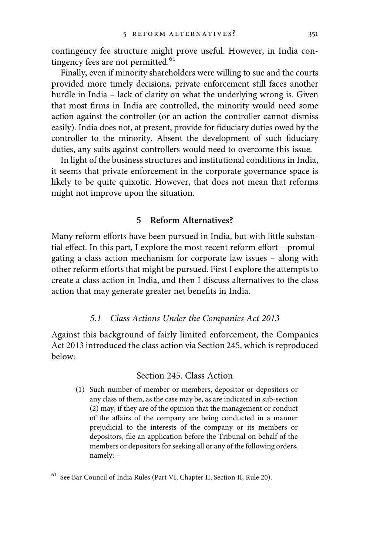contingency fee structure might prove useful. However, in India contingency fees are not permitted.<sup>61</sup>

Finally, even if minority shareholders were willing to sue and the courts provided more timely decisions, private enforcement still faces another hurdle in India – lack of clarity on what the underlying wrong is. Given that most firms in India are controlled, the minority would need some action against the controller (or an action the controller cannot dismiss easily). India does not, at present, provide for fiduciary duties owed by the controller to the minority. Absent the development of such fiduciary duties, any suits against controllers would need to overcome this issue.

In light of the business structures and institutional conditions in India, it seems that private enforcement in the corporate governance space is likely to be quite quixotic. However, that does not mean that reforms might not improve upon the situation.

#### 5 Reform Alternatives?

Many reform efforts have been pursued in India, but with little substantial effect. In this part, I explore the most recent reform effort – promulgating a class action mechanism for corporate law issues – along with other reform efforts that might be pursued. First I explore the attempts to create a class action in India, and then I discuss alternatives to the class action that may generate greater net benefits in India.

#### 5.1 Class Actions Under the Companies Act 2013

Against this background of fairly limited enforcement, the Companies Act 2013 introduced the class action via Section 245, which is reproduced below:

#### Section 245. Class Action

(1) Such number of member or members, depositor or depositors or any class of them, as the case may be, as are indicated in sub-section (2) may, if they are of the opinion that the management or conduct of the affairs of the company are being conducted in a manner prejudicial to the interests of the company or its members or depositors, file an application before the Tribunal on behalf of the members or depositors for seeking all or any of the following orders, namely: –

<sup>61</sup> See Bar Council of India Rules (Part VI, Chapter II, Section II, Rule 20).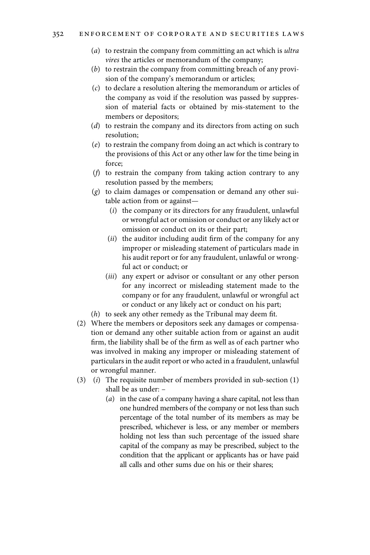- (a) to restrain the company from committing an act which is ultra vires the articles or memorandum of the company;
- (b) to restrain the company from committing breach of any provision of the company's memorandum or articles;
- (c) to declare a resolution altering the memorandum or articles of the company as void if the resolution was passed by suppression of material facts or obtained by mis-statement to the members or depositors;
- (d) to restrain the company and its directors from acting on such resolution;
- (e) to restrain the company from doing an act which is contrary to the provisions of this Act or any other law for the time being in force;
- (f) to restrain the company from taking action contrary to any resolution passed by the members;
- $(g)$  to claim damages or compensation or demand any other suitable action from or against—
	- $(i)$  the company or its directors for any fraudulent, unlawful or wrongful act or omission or conduct or any likely act or omission or conduct on its or their part;
	- $(ii)$  the auditor including audit firm of the company for any improper or misleading statement of particulars made in his audit report or for any fraudulent, unlawful or wrongful act or conduct; or
	- (iii) any expert or advisor or consultant or any other person for any incorrect or misleading statement made to the company or for any fraudulent, unlawful or wrongful act or conduct or any likely act or conduct on his part;
- (h) to seek any other remedy as the Tribunal may deem fit.
- (2) Where the members or depositors seek any damages or compensation or demand any other suitable action from or against an audit firm, the liability shall be of the firm as well as of each partner who was involved in making any improper or misleading statement of particulars in the audit report or who acted in a fraudulent, unlawful or wrongful manner.
- (3) (i) The requisite number of members provided in sub-section (1) shall be as under: –
	- (a) in the case of a company having a share capital, not less than one hundred members of the company or not less than such percentage of the total number of its members as may be prescribed, whichever is less, or any member or members holding not less than such percentage of the issued share capital of the company as may be prescribed, subject to the condition that the applicant or applicants has or have paid all calls and other sums due on his or their shares;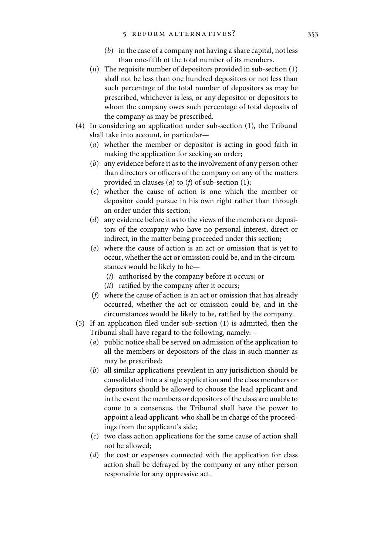- (b) in the case of a company not having a share capital, not less than one-fifth of the total number of its members.
- (*ii*) The requisite number of depositors provided in sub-section  $(1)$ shall not be less than one hundred depositors or not less than such percentage of the total number of depositors as may be prescribed, whichever is less, or any depositor or depositors to whom the company owes such percentage of total deposits of the company as may be prescribed.
- (4) In considering an application under sub-section (1), the Tribunal shall take into account, in particular—
	- (a) whether the member or depositor is acting in good faith in making the application for seeking an order;
	- (b) any evidence before it as to the involvement of any person other than directors or officers of the company on any of the matters provided in clauses (*a*) to (*f*) of sub-section (1);
	- (c) whether the cause of action is one which the member or depositor could pursue in his own right rather than through an order under this section;
	- (d) any evidence before it as to the views of the members or depositors of the company who have no personal interest, direct or indirect, in the matter being proceeded under this section;
	- (e) where the cause of action is an act or omission that is yet to occur, whether the act or omission could be, and in the circumstances would be likely to be—
		- (i) authorised by the company before it occurs; or
		- $(ii)$  ratified by the company after it occurs;
	- (f) where the cause of action is an act or omission that has already occurred, whether the act or omission could be, and in the circumstances would be likely to be, ratified by the company.
- (5) If an application filed under sub-section (1) is admitted, then the Tribunal shall have regard to the following, namely: –
	- (a) public notice shall be served on admission of the application to all the members or depositors of the class in such manner as may be prescribed;
	- (b) all similar applications prevalent in any jurisdiction should be consolidated into a single application and the class members or depositors should be allowed to choose the lead applicant and in the event the members or depositors of the class are unable to come to a consensus, the Tribunal shall have the power to appoint a lead applicant, who shall be in charge of the proceedings from the applicant's side;
	- (c) two class action applications for the same cause of action shall not be allowed;
	- (d) the cost or expenses connected with the application for class action shall be defrayed by the company or any other person responsible for any oppressive act.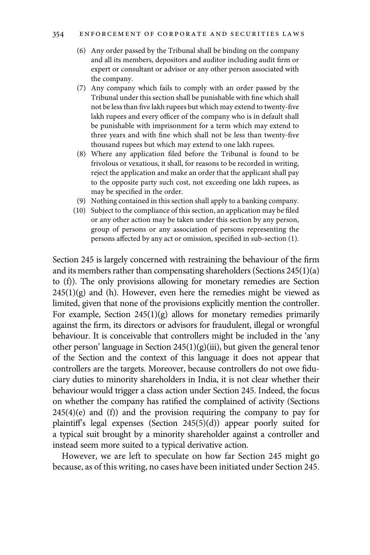#### 354 ENFORCEMENT OF CORPORATE AND SECURITIES LAWS

- (6) Any order passed by the Tribunal shall be binding on the company and all its members, depositors and auditor including audit firm or expert or consultant or advisor or any other person associated with the company.
- (7) Any company which fails to comply with an order passed by the Tribunal under this section shall be punishable with fine which shall not be less than five lakh rupees but which may extend to twenty-five lakh rupees and every officer of the company who is in default shall be punishable with imprisonment for a term which may extend to three years and with fine which shall not be less than twenty-five thousand rupees but which may extend to one lakh rupees.
- (8) Where any application filed before the Tribunal is found to be frivolous or vexatious, it shall, for reasons to be recorded in writing, reject the application and make an order that the applicant shall pay to the opposite party such cost, not exceeding one lakh rupees, as may be specified in the order.
- (9) Nothing contained in this section shall apply to a banking company.
- (10) Subject to the compliance of this section, an application may be filed or any other action may be taken under this section by any person, group of persons or any association of persons representing the persons affected by any act or omission, specified in sub-section (1).

Section 245 is largely concerned with restraining the behaviour of the firm and its members rather than compensating shareholders (Sections 245(1)(a) to (f)). The only provisions allowing for monetary remedies are Section  $245(1)(g)$  and (h). However, even here the remedies might be viewed as limited, given that none of the provisions explicitly mention the controller. For example, Section  $245(1)(g)$  allows for monetary remedies primarily against the firm, its directors or advisors for fraudulent, illegal or wrongful behaviour. It is conceivable that controllers might be included in the 'any other person' language in Section  $245(1)(g)(iii)$ , but given the general tenor of the Section and the context of this language it does not appear that controllers are the targets. Moreover, because controllers do not owe fiduciary duties to minority shareholders in India, it is not clear whether their behaviour would trigger a class action under Section 245. Indeed, the focus on whether the company has ratified the complained of activity (Sections  $245(4)(e)$  and (f)) and the provision requiring the company to pay for plaintiff's legal expenses (Section 245(5)(d)) appear poorly suited for a typical suit brought by a minority shareholder against a controller and instead seem more suited to a typical derivative action.

However, we are left to speculate on how far Section 245 might go because, as of this writing, no cases have been initiated under Section 245.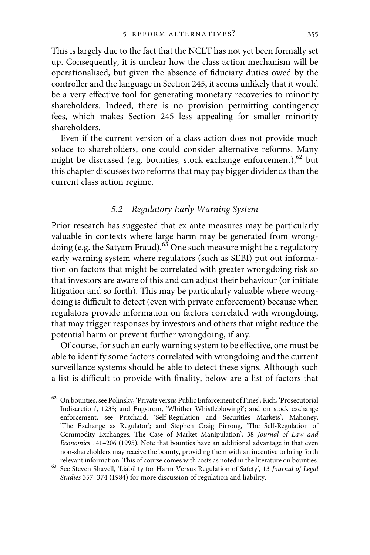This is largely due to the fact that the NCLT has not yet been formally set up. Consequently, it is unclear how the class action mechanism will be operationalised, but given the absence of fiduciary duties owed by the controller and the language in Section 245, it seems unlikely that it would be a very effective tool for generating monetary recoveries to minority shareholders. Indeed, there is no provision permitting contingency fees, which makes Section 245 less appealing for smaller minority shareholders.

Even if the current version of a class action does not provide much solace to shareholders, one could consider alternative reforms. Many might be discussed (e.g. bounties, stock exchange enforcement),<sup>62</sup> but this chapter discusses two reforms that may pay bigger dividends than the current class action regime.

#### 5.2 Regulatory Early Warning System

Prior research has suggested that ex ante measures may be particularly valuable in contexts where large harm may be generated from wrongdoing (e.g. the Satyam Fraud). $63$  One such measure might be a regulatory early warning system where regulators (such as SEBI) put out information on factors that might be correlated with greater wrongdoing risk so that investors are aware of this and can adjust their behaviour (or initiate litigation and so forth). This may be particularly valuable where wrongdoing is difficult to detect (even with private enforcement) because when regulators provide information on factors correlated with wrongdoing, that may trigger responses by investors and others that might reduce the potential harm or prevent further wrongdoing, if any.

Of course, for such an early warning system to be effective, one must be able to identify some factors correlated with wrongdoing and the current surveillance systems should be able to detect these signs. Although such a list is difficult to provide with finality, below are a list of factors that

<sup>&</sup>lt;sup>62</sup> On bounties, see Polinsky, 'Private versus Public Enforcement of Fines'; Rich, 'Prosecutorial Indiscretion', 1233; and Engstrom, 'Whither Whistleblowing?'; and on stock exchange enforcement, see Pritchard, 'Self-Regulation and Securities Markets'; Mahoney, 'The Exchange as Regulator'; and Stephen Craig Pirrong, 'The Self-Regulation of Commodity Exchanges: The Case of Market Manipulation', 38 Journal of Law and Economics 141–206 (1995). Note that bounties have an additional advantage in that even non-shareholders may receive the bounty, providing them with an incentive to bring forth

relevant information. This of course comes with costs as noted in the literature on bounties.  $^{63}$  See Steven Shavell, 'Liability for Harm Versus Regulation of Safety', 13 Journal of Legal Studies 357–374 (1984) for more discussion of regulation and liability.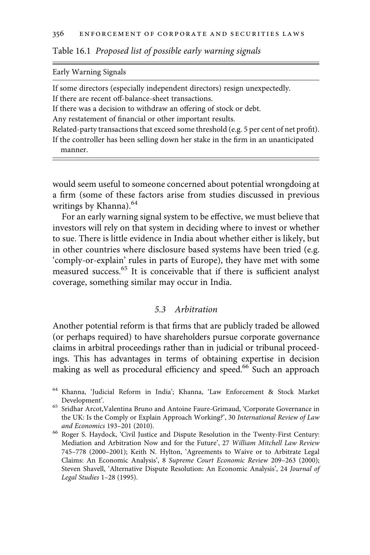Table 16.1 Proposed list of possible early warning signals

Early Warning Signals

| If some directors (especially independent directors) resign unexpectedly.              |
|----------------------------------------------------------------------------------------|
| If there are recent off-balance-sheet transactions.                                    |
| If there was a decision to withdraw an offering of stock or debt.                      |
| Any restatement of financial or other important results.                               |
| Related-party transactions that exceed some threshold (e.g. 5 per cent of net profit). |
| If the controller has been selling down her stake in the firm in an unanticipated      |
| manner.                                                                                |
|                                                                                        |

would seem useful to someone concerned about potential wrongdoing at a firm (some of these factors arise from studies discussed in previous writings by Khanna).<sup>64</sup>

For an early warning signal system to be effective, we must believe that investors will rely on that system in deciding where to invest or whether to sue. There is little evidence in India about whether either is likely, but in other countries where disclosure based systems have been tried (e.g. 'comply-or-explain' rules in parts of Europe), they have met with some measured success.<sup>65</sup> It is conceivable that if there is sufficient analyst coverage, something similar may occur in India.

#### 5.3 Arbitration

Another potential reform is that firms that are publicly traded be allowed (or perhaps required) to have shareholders pursue corporate governance claims in arbitral proceedings rather than in judicial or tribunal proceedings. This has advantages in terms of obtaining expertise in decision making as well as procedural efficiency and speed.<sup>66</sup> Such an approach

<sup>64</sup> Khanna, 'Judicial Reform in India'; Khanna, 'Law Enforcement & Stock Market  $\,$  Development'.  $\,$   $\,$   $\,$  Sridhar Arcot,Valentina Bruno and Antoine Faure-Grimaud, 'Corporate Governance in  $\,$ 

the UK: Is the Comply or Explain Approach Working?', 30 International Review of Law

and Economics 193–201 (2010).  $^{66}$  Roger S. Haydock, 'Civil Justice and Dispute Resolution in the Twenty-First Century: Mediation and Arbitration Now and for the Future', 27 William Mitchell Law Review 745–778 (2000–2001); Keith N. Hylton, 'Agreements to Waive or to Arbitrate Legal Claims: An Economic Analysis', 8 Supreme Court Economic Review 209–263 (2000); Steven Shavell, 'Alternative Dispute Resolution: An Economic Analysis', 24 Journal of Legal Studies 1–28 (1995).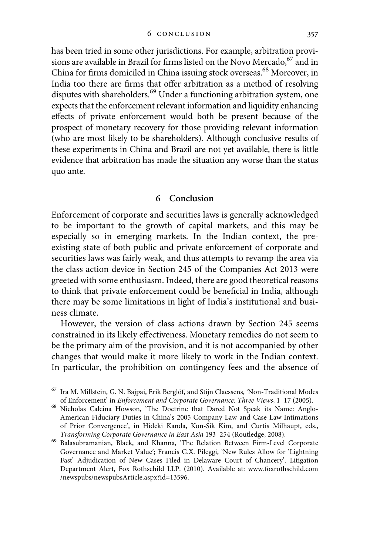has been tried in some other jurisdictions. For example, arbitration provisions are available in Brazil for firms listed on the Novo Mercado,  $^{67}$  and in China for firms domiciled in China issuing stock overseas.68 Moreover, in India too there are firms that offer arbitration as a method of resolving disputes with shareholders.<sup>69</sup> Under a functioning arbitration system, one expects that the enforcement relevant information and liquidity enhancing effects of private enforcement would both be present because of the prospect of monetary recovery for those providing relevant information (who are most likely to be shareholders). Although conclusive results of these experiments in China and Brazil are not yet available, there is little evidence that arbitration has made the situation any worse than the status quo ante.

#### 6 Conclusion

Enforcement of corporate and securities laws is generally acknowledged to be important to the growth of capital markets, and this may be especially so in emerging markets. In the Indian context, the preexisting state of both public and private enforcement of corporate and securities laws was fairly weak, and thus attempts to revamp the area via the class action device in Section 245 of the Companies Act 2013 were greeted with some enthusiasm. Indeed, there are good theoretical reasons to think that private enforcement could be beneficial in India, although there may be some limitations in light of India's institutional and business climate.

However, the version of class actions drawn by Section 245 seems constrained in its likely effectiveness. Monetary remedies do not seem to be the primary aim of the provision, and it is not accompanied by other changes that would make it more likely to work in the Indian context. In particular, the prohibition on contingency fees and the absence of

 $^{67}$  Ira M. Millstein, G. N. Bajpai, Erik Berglöf, and Stijn Claessens, 'Non-Traditional Modes of Enforcement' in *Enforcement and Corporate Governance: Three Views*, 1–17 (2005).

<sup>&</sup>lt;sup>68</sup> Nicholas Calcina Howson, 'The Doctrine that Dared Not Speak its Name: Anglo-American Fiduciary Duties in China's 2005 Company Law and Case Law Intimations of Prior Convergence', in Hideki Kanda, Kon-Sik Kim, and Curtis Milhaupt, eds.,

Transforming Corporate Governance in East Asia <sup>193</sup>–254 (Routledge, 2008). <sup>69</sup> Balasubramanian, Black, and Khanna, 'The Relation Between Firm-Level Corporate Governance and Market Value'; Francis G.X. Pileggi, 'New Rules Allow for 'Lightning Fast' Adjudication of New Cases Filed in Delaware Court of Chancery'. Litigation Department Alert, Fox Rothschild LLP. (2010). Available at: www.foxrothschild.com /newspubs/newspubsArticle.aspx?id=13596.